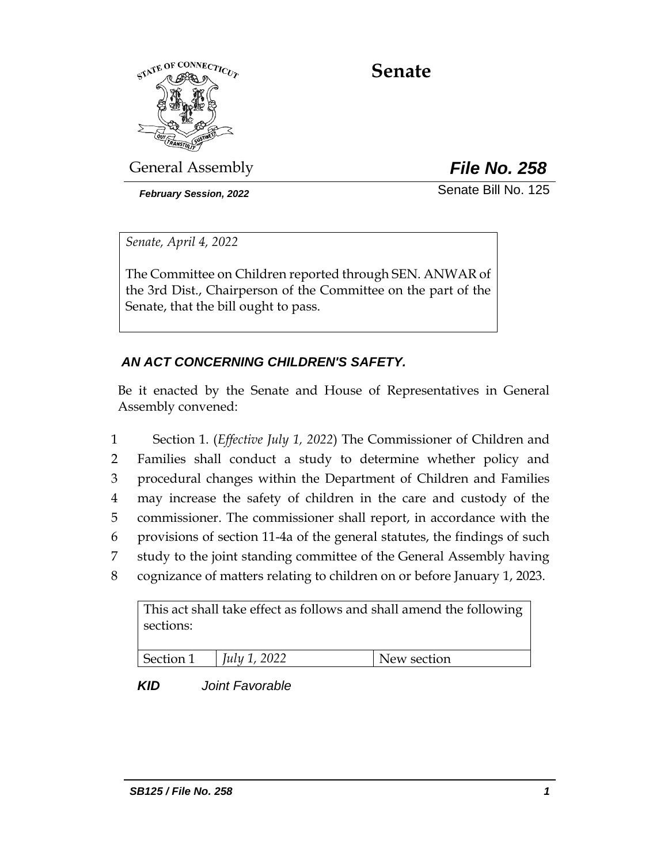

# **Senate**

General Assembly *File No. 258*

*February Session, 2022* Senate Bill No. 125

*Senate, April 4, 2022*

The Committee on Children reported through SEN. ANWAR of the 3rd Dist., Chairperson of the Committee on the part of the Senate, that the bill ought to pass.

# *AN ACT CONCERNING CHILDREN'S SAFETY.*

Be it enacted by the Senate and House of Representatives in General Assembly convened:

 Section 1. (*Effective July 1, 2022*) The Commissioner of Children and Families shall conduct a study to determine whether policy and procedural changes within the Department of Children and Families may increase the safety of children in the care and custody of the commissioner. The commissioner shall report, in accordance with the provisions of section 11-4a of the general statutes, the findings of such study to the joint standing committee of the General Assembly having cognizance of matters relating to children on or before January 1, 2023.

This act shall take effect as follows and shall amend the following sections:

| Section 1 | $ $ <i>July 1, 2022</i> | New section |
|-----------|-------------------------|-------------|

*KID Joint Favorable*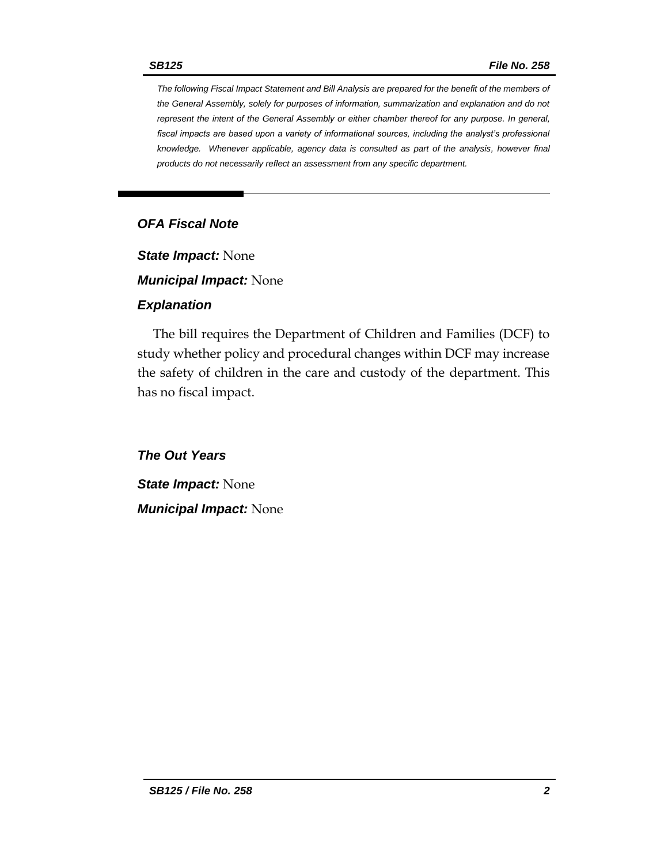*The following Fiscal Impact Statement and Bill Analysis are prepared for the benefit of the members of the General Assembly, solely for purposes of information, summarization and explanation and do not represent the intent of the General Assembly or either chamber thereof for any purpose. In general,*  fiscal impacts are based upon a variety of informational sources, including the analyst's professional *knowledge. Whenever applicable, agency data is consulted as part of the analysis, however final products do not necessarily reflect an assessment from any specific department.*

## *OFA Fiscal Note*

*State Impact:* None

*Municipal Impact:* None

#### *Explanation*

The bill requires the Department of Children and Families (DCF) to study whether policy and procedural changes within DCF may increase the safety of children in the care and custody of the department. This has no fiscal impact.

*The Out Years*

*State Impact:* None *Municipal Impact:* None